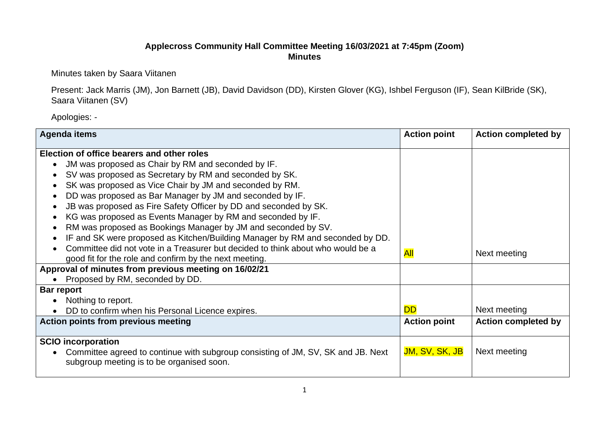## **Applecross Community Hall Committee Meeting 16/03/2021 at 7:45pm (Zoom) Minutes**

Minutes taken by Saara Viitanen

Present: Jack Marris (JM), Jon Barnett (JB), David Davidson (DD), Kirsten Glover (KG), Ishbel Ferguson (IF), Sean KilBride (SK), Saara Viitanen (SV)

Apologies: -

| <b>Agenda items</b>                                                              | <b>Action point</b> | <b>Action completed by</b> |
|----------------------------------------------------------------------------------|---------------------|----------------------------|
| Election of office bearers and other roles                                       |                     |                            |
| JM was proposed as Chair by RM and seconded by IF.                               |                     |                            |
| SV was proposed as Secretary by RM and seconded by SK.                           |                     |                            |
| SK was proposed as Vice Chair by JM and seconded by RM.                          |                     |                            |
| DD was proposed as Bar Manager by JM and seconded by IF.                         |                     |                            |
| JB was proposed as Fire Safety Officer by DD and seconded by SK.                 |                     |                            |
| KG was proposed as Events Manager by RM and seconded by IF.                      |                     |                            |
| RM was proposed as Bookings Manager by JM and seconded by SV.                    |                     |                            |
| IF and SK were proposed as Kitchen/Building Manager by RM and seconded by DD.    |                     |                            |
| Committee did not vote in a Treasurer but decided to think about who would be a  | <b>All</b>          | Next meeting               |
| good fit for the role and confirm by the next meeting.                           |                     |                            |
| Approval of minutes from previous meeting on 16/02/21                            |                     |                            |
| Proposed by RM, seconded by DD.                                                  |                     |                            |
| <b>Bar report</b>                                                                |                     |                            |
| Nothing to report.                                                               |                     |                            |
| DD to confirm when his Personal Licence expires.                                 | <b>DD</b>           | Next meeting               |
| <b>Action points from previous meeting</b>                                       | <b>Action point</b> | <b>Action completed by</b> |
|                                                                                  |                     |                            |
| <b>SCIO</b> incorporation                                                        |                     |                            |
| Committee agreed to continue with subgroup consisting of JM, SV, SK and JB. Next | JM, SV, SK, JB      | Next meeting               |
| subgroup meeting is to be organised soon.                                        |                     |                            |
|                                                                                  |                     |                            |